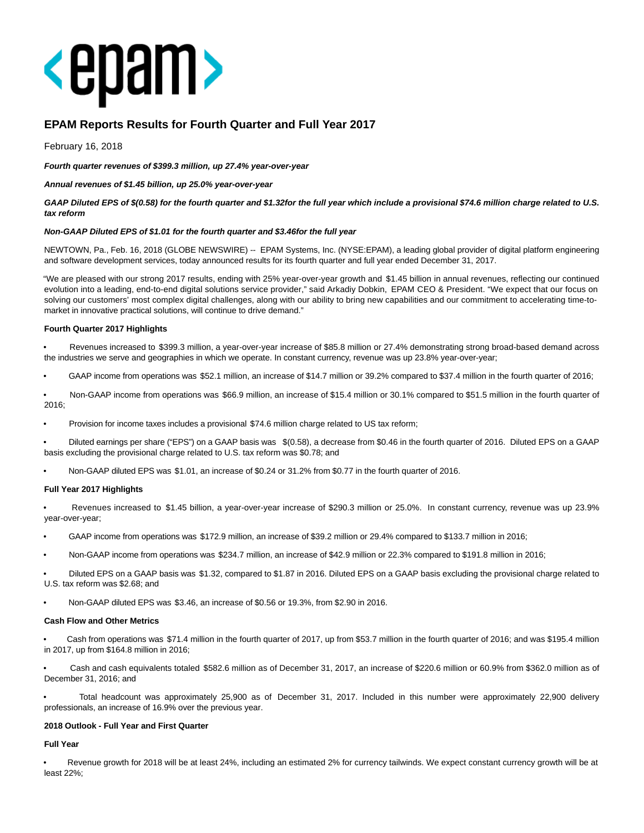

# **EPAM Reports Results for Fourth Quarter and Full Year 2017**

February 16, 2018

**Fourth quarter revenues of \$399.3 million, up 27.4% year-over-year**

**Annual revenues of \$1.45 billion, up 25.0% year-over-year**

**GAAP Diluted EPS of \$(0.58) for the fourth quarter and \$1.32for the full year which include a provisional \$74.6 million charge related to U.S. tax reform**

#### **Non-GAAP Diluted EPS of \$1.01 for the fourth quarter and \$3.46for the full year**

NEWTOWN, Pa., Feb. 16, 2018 (GLOBE NEWSWIRE) -- EPAM Systems, Inc. (NYSE:EPAM), a leading global provider of digital platform engineering and software development services, today announced results for its fourth quarter and full year ended December 31, 2017.

"We are pleased with our strong 2017 results, ending with 25% year-over-year growth and \$1.45 billion in annual revenues, reflecting our continued evolution into a leading, end-to-end digital solutions service provider," said Arkadiy Dobkin, EPAM CEO & President. "We expect that our focus on solving our customers' most complex digital challenges, along with our ability to bring new capabilities and our commitment to accelerating time-tomarket in innovative practical solutions, will continue to drive demand."

#### **Fourth Quarter 2017 Highlights**

• Revenues increased to \$399.3 million, a year-over-year increase of \$85.8 million or 27.4% demonstrating strong broad-based demand across the industries we serve and geographies in which we operate. In constant currency, revenue was up 23.8% year-over-year;

- GAAP income from operations was \$52.1 million, an increase of \$14.7 million or 39.2% compared to \$37.4 million in the fourth quarter of 2016;
- Non-GAAP income from operations was \$66.9 million, an increase of \$15.4 million or 30.1% compared to \$51.5 million in the fourth quarter of 2016;
- Provision for income taxes includes a provisional \$74.6 million charge related to US tax reform;
- Diluted earnings per share ("EPS") on a GAAP basis was \$(0.58), a decrease from \$0.46 in the fourth quarter of 2016. Diluted EPS on a GAAP basis excluding the provisional charge related to U.S. tax reform was \$0.78; and
- Non-GAAP diluted EPS was \$1.01, an increase of \$0.24 or 31.2% from \$0.77 in the fourth quarter of 2016.

### **Full Year 2017 Highlights**

• Revenues increased to \$1.45 billion, a year-over-year increase of \$290.3 million or 25.0%. In constant currency, revenue was up 23.9% year-over-year;

- GAAP income from operations was \$172.9 million, an increase of \$39.2 million or 29.4% compared to \$133.7 million in 2016;
- Non-GAAP income from operations was \$234.7 million, an increase of \$42.9 million or 22.3% compared to \$191.8 million in 2016;

• Diluted EPS on a GAAP basis was \$1.32, compared to \$1.87 in 2016. Diluted EPS on a GAAP basis excluding the provisional charge related to U.S. tax reform was \$2.68; and

• Non-GAAP diluted EPS was \$3.46, an increase of \$0.56 or 19.3%, from \$2.90 in 2016.

#### **Cash Flow and Other Metrics**

• Cash from operations was \$71.4 million in the fourth quarter of 2017, up from \$53.7 million in the fourth quarter of 2016; and was \$195.4 million in 2017, up from \$164.8 million in 2016;

• Cash and cash equivalents totaled \$582.6 million as of December 31, 2017, an increase of \$220.6 million or 60.9% from \$362.0 million as of December 31, 2016; and

• Total headcount was approximately 25,900 as of December 31, 2017. Included in this number were approximately 22,900 delivery professionals, an increase of 16.9% over the previous year.

#### **2018 Outlook - Full Year and First Quarter**

**Full Year**

• Revenue growth for 2018 will be at least 24%, including an estimated 2% for currency tailwinds. We expect constant currency growth will be at least 22%;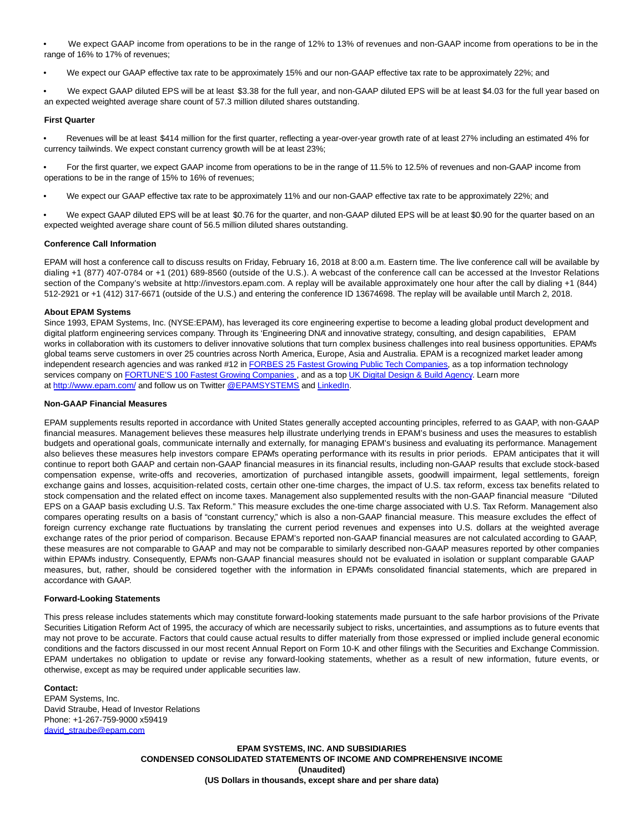• We expect GAAP income from operations to be in the range of 12% to 13% of revenues and non-GAAP income from operations to be in the range of 16% to 17% of revenues;

• We expect our GAAP effective tax rate to be approximately 15% and our non-GAAP effective tax rate to be approximately 22%; and

• We expect GAAP diluted EPS will be at least \$3.38 for the full year, and non-GAAP diluted EPS will be at least \$4.03 for the full year based on an expected weighted average share count of 57.3 million diluted shares outstanding.

#### **First Quarter**

• Revenues will be at least \$414 million for the first quarter, reflecting a year-over-year growth rate of at least 27% including an estimated 4% for currency tailwinds. We expect constant currency growth will be at least 23%;

• For the first quarter, we expect GAAP income from operations to be in the range of 11.5% to 12.5% of revenues and non-GAAP income from operations to be in the range of 15% to 16% of revenues;

• We expect our GAAP effective tax rate to be approximately 11% and our non-GAAP effective tax rate to be approximately 22%; and

• We expect GAAP diluted EPS will be at least \$0.76 for the quarter, and non-GAAP diluted EPS will be at least \$0.90 for the quarter based on an expected weighted average share count of 56.5 million diluted shares outstanding.

#### **Conference Call Information**

EPAM will host a conference call to discuss results on Friday, February 16, 2018 at 8:00 a.m. Eastern time. The live conference call will be available by dialing +1 (877) 407-0784 or +1 (201) 689-8560 (outside of the U.S.). A webcast of the conference call can be accessed at the Investor Relations section of the Company's website at http://investors.epam.com. A replay will be available approximately one hour after the call by dialing +1 (844) 512-2921 or +1 (412) 317-6671 (outside of the U.S.) and entering the conference ID 13674698. The replay will be available until March 2, 2018.

#### **About EPAM Systems**

Since 1993, EPAM Systems, Inc. (NYSE:EPAM), has leveraged its core engineering expertise to become a leading global product development and digital platform engineering services company. Through its 'Engineering DNA' and innovative strategy, consulting, and design capabilities, EPAM works in collaboration with its customers to deliver innovative solutions that turn complex business challenges into real business opportunities. EPAM's global teams serve customers in over 25 countries across North America, Europe, Asia and Australia. EPAM is a recognized market leader among independent research agencies and was ranked #12 in [FORBES 25 Fastest Growing Public Tech Companies,](https://www.globenewswire.com/Tracker?data=0bmFRZudwd4qxowVcZpyrh_ruOX2zzKtx9GjOjMm78NxLAlWYhSX8Q1v0GQmxqN_WEbRXoNR3yOUYYe70oYwzHTQ07dC4G_bvOC22IjNdzN4xg7j_8wdCmz-mjTwB6uyekSZkKXrggs_NgdyS_C1tUEB8AWV8LbtJOJMMND0HsQ9YjIwiOW8BM0IkXO_W_PGwJkX29DZC-m4B0uKZnbCuZ2w7jK5dvetfY9UEPNDwand5ESTQGjkvBdFx1aypn18) as a top information technology services company on [FORTUNE'S 100 Fastest Growing Companies](https://www.globenewswire.com/Tracker?data=qk_a10bnp7ZzV8sUiKyizyaufkJI7RAa2pDYs8vs8l1ZjQ-5SZ3v7vfkW6qKMVD1P2iMR9Xd7iN5BgXBVoPiMyS5LWp0FEoK0aFmuIQ_jhSQZTmCH0j8P9_BIce1KZxB23bsv8BR4OTiF8P49hFRNWnKjK1YjX52HpLTGlIuJYc=), and as a top [UK Digital Design & Build Agency.](https://www.globenewswire.com/Tracker?data=rk8UUHzFk1_sINnmi4DrO1o38wLZMUTFi6WzDqUkDlQrajye2kRfZsKgPZ3LelNsAm5CJTJkHZzrZ5fqHbMIlCNVt6R3PlGkucnGmMF2dg4YqN2Z_PkM3icN3k4Kz0Nx79Zm19tZoy1r9aVnIXjegQ==) Learn more at [http://www.epam.com/ a](https://www.globenewswire.com/Tracker?data=K-AOk5UYKyVIRrjIzUWSP2LSUq7p3L6nL9Nl3CmQxHH1jbHuYwYVapgvXPFXklg63VwALlaXE_HVlB0SKy_cVg==)nd follow us on Twitte[r @EPAMSYSTEMS a](https://www.globenewswire.com/Tracker?data=DLwNIdNWwCmuGXrezN0bA-uC5LOHwCXnkkZoOlfiNDEKtQnHjGM4iEroc5zCG7llpRLkkQp7VyirWvG8P0yfMlK9Z9Ck_A9Gl0RFoAx9Bjc=)nd [LinkedIn.](https://www.globenewswire.com/Tracker?data=wGwYebbmxPSwxkmh0x6ceD8k_ExR3q59aIvH-j1Fv7V1y8Le70e9LSAE4hXsa-jOBy4aCGp6P38e3tPXahhEXN4zDXHTA1QnJk0F9l1J2OA=)

#### **Non-GAAP Financial Measures**

EPAM supplements results reported in accordance with United States generally accepted accounting principles, referred to as GAAP, with non-GAAP financial measures. Management believes these measures help illustrate underlying trends in EPAM's business and uses the measures to establish budgets and operational goals, communicate internally and externally, for managing EPAM's business and evaluating its performance. Management also believes these measures help investors compare EPAM's operating performance with its results in prior periods. EPAM anticipates that it will continue to report both GAAP and certain non-GAAP financial measures in its financial results, including non-GAAP results that exclude stock-based compensation expense, write-offs and recoveries, amortization of purchased intangible assets, goodwill impairment, legal settlements, foreign exchange gains and losses, acquisition-related costs, certain other one-time charges, the impact of U.S. tax reform, excess tax benefits related to stock compensation and the related effect on income taxes. Management also supplemented results with the non-GAAP financial measure "Diluted EPS on a GAAP basis excluding U.S. Tax Reform." This measure excludes the one-time charge associated with U.S. Tax Reform. Management also compares operating results on a basis of "constant currency," which is also a non-GAAP financial measure. This measure excludes the effect of foreign currency exchange rate fluctuations by translating the current period revenues and expenses into U.S. dollars at the weighted average exchange rates of the prior period of comparison. Because EPAM's reported non-GAAP financial measures are not calculated according to GAAP, these measures are not comparable to GAAP and may not be comparable to similarly described non-GAAP measures reported by other companies within EPAM's industry. Consequently, EPAM's non-GAAP financial measures should not be evaluated in isolation or supplant comparable GAAP measures, but, rather, should be considered together with the information in EPAM's consolidated financial statements, which are prepared in accordance with GAAP.

#### **Forward-Looking Statements**

This press release includes statements which may constitute forward-looking statements made pursuant to the safe harbor provisions of the Private Securities Litigation Reform Act of 1995, the accuracy of which are necessarily subject to risks, uncertainties, and assumptions as to future events that may not prove to be accurate. Factors that could cause actual results to differ materially from those expressed or implied include general economic conditions and the factors discussed in our most recent Annual Report on Form 10-K and other filings with the Securities and Exchange Commission. EPAM undertakes no obligation to update or revise any forward-looking statements, whether as a result of new information, future events, or otherwise, except as may be required under applicable securities law.

#### **Contact:**

EPAM Systems, Inc. David Straube, Head of Investor Relations Phone: +1-267-759-9000 x59419 [david\\_straube@epam.com](mailto:david_straube@epam.com)

> **EPAM SYSTEMS, INC. AND SUBSIDIARIES CONDENSED CONSOLIDATED STATEMENTS OF INCOME AND COMPREHENSIVE INCOME (Unaudited) (US Dollars in thousands, except share and per share data)**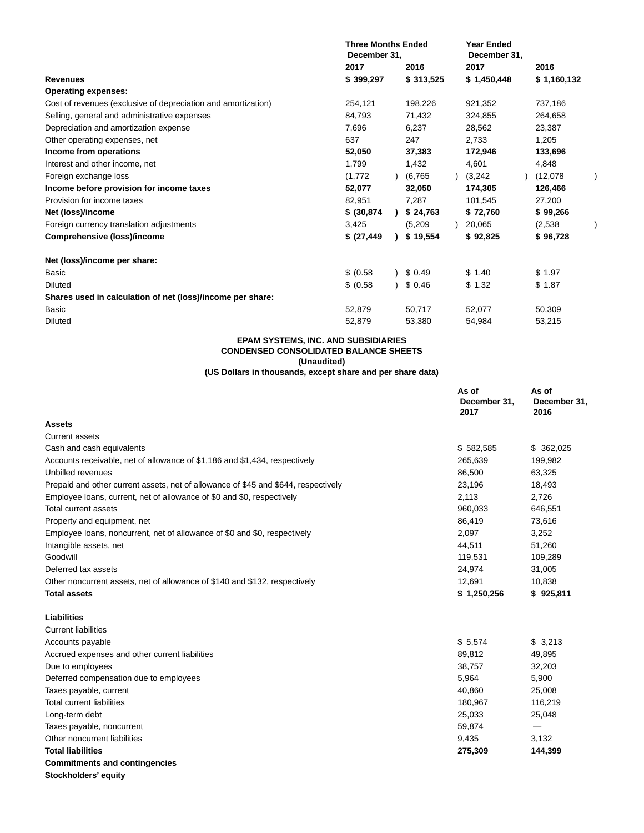| <b>Three Months Ended</b><br>December 31, |  |     |                                                                                                                                                                             | <b>Year Ended</b><br>December 31, |         |             |  |
|-------------------------------------------|--|-----|-----------------------------------------------------------------------------------------------------------------------------------------------------------------------------|-----------------------------------|---------|-------------|--|
| 2017                                      |  |     |                                                                                                                                                                             | 2017                              |         | 2016        |  |
| \$399,297                                 |  |     |                                                                                                                                                                             | \$1,450,448                       |         | \$1,160,132 |  |
|                                           |  |     |                                                                                                                                                                             |                                   |         |             |  |
| 254,121                                   |  |     |                                                                                                                                                                             | 921,352                           |         | 737,186     |  |
| 84,793                                    |  |     |                                                                                                                                                                             | 324,855                           |         | 264,658     |  |
| 7,696                                     |  |     |                                                                                                                                                                             | 28,562                            |         | 23,387      |  |
| 637                                       |  | 247 |                                                                                                                                                                             | 2.733                             |         | 1,205       |  |
| 52,050                                    |  |     |                                                                                                                                                                             | 172,946                           |         | 133,696     |  |
| 1,799                                     |  |     |                                                                                                                                                                             | 4,601                             |         | 4,848       |  |
| (1,772)                                   |  |     |                                                                                                                                                                             |                                   |         | (12,078)    |  |
| 52,077                                    |  |     |                                                                                                                                                                             | 174,305                           |         | 126,466     |  |
| 82,951                                    |  |     |                                                                                                                                                                             | 101,545                           |         | 27,200      |  |
| \$ (30, 874)                              |  |     |                                                                                                                                                                             | \$72,760                          |         | \$99,266    |  |
| 3,425                                     |  |     |                                                                                                                                                                             | 20,065                            |         | (2,538)     |  |
| \$ (27, 449)                              |  |     |                                                                                                                                                                             | \$92,825                          |         | \$96,728    |  |
|                                           |  |     |                                                                                                                                                                             |                                   |         |             |  |
| \$ (0.58)                                 |  |     |                                                                                                                                                                             | \$1.40                            |         | \$1.97      |  |
| \$ (0.58)                                 |  |     |                                                                                                                                                                             | \$1.32                            |         | \$1.87      |  |
|                                           |  |     |                                                                                                                                                                             |                                   |         |             |  |
| 52,879                                    |  |     |                                                                                                                                                                             | 52,077                            |         | 50,309      |  |
| 52,879                                    |  |     |                                                                                                                                                                             | 54,984                            |         | 53,215      |  |
|                                           |  |     | 2016<br>\$313,525<br>198,226<br>71,432<br>6,237<br>37,383<br>1,432<br>(6,765)<br>32,050<br>7,287<br>\$24,763<br>(5,209)<br>\$19,554<br>\$0.49<br>\$0.46<br>50,717<br>53,380 |                                   | (3,242) |             |  |

# **EPAM SYSTEMS, INC. AND SUBSIDIARIES CONDENSED CONSOLIDATED BALANCE SHEETS (Unaudited)**

#### **(US Dollars in thousands, except share and per share data)**

|                                                                                    | As of<br>December 31,<br>2017 | As of<br>December 31,<br>2016 |
|------------------------------------------------------------------------------------|-------------------------------|-------------------------------|
| Assets                                                                             |                               |                               |
| <b>Current assets</b>                                                              |                               |                               |
| Cash and cash equivalents                                                          | \$582,585                     | \$362,025                     |
| Accounts receivable, net of allowance of \$1,186 and \$1,434, respectively         | 265,639                       | 199,982                       |
| Unbilled revenues                                                                  | 86,500                        | 63,325                        |
| Prepaid and other current assets, net of allowance of \$45 and \$644, respectively | 23,196                        | 18,493                        |
| Employee loans, current, net of allowance of \$0 and \$0, respectively             | 2,113                         | 2,726                         |
| Total current assets                                                               | 960,033                       | 646,551                       |
| Property and equipment, net                                                        | 86,419                        | 73,616                        |
| Employee loans, noncurrent, net of allowance of \$0 and \$0, respectively          | 2,097                         | 3,252                         |
| Intangible assets, net                                                             | 44,511                        | 51,260                        |
| Goodwill                                                                           | 119,531                       | 109,289                       |
| Deferred tax assets                                                                | 24,974                        | 31,005                        |
| Other noncurrent assets, net of allowance of \$140 and \$132, respectively         | 12,691                        | 10,838                        |
| <b>Total assets</b>                                                                | \$1,250,256                   | \$925,811                     |
| <b>Liabilities</b>                                                                 |                               |                               |
| <b>Current liabilities</b>                                                         |                               |                               |
| Accounts payable                                                                   | \$5,574                       | \$3,213                       |
| Accrued expenses and other current liabilities                                     | 89,812                        | 49,895                        |
| Due to employees                                                                   | 38,757                        | 32,203                        |
| Deferred compensation due to employees                                             | 5,964                         | 5,900                         |
| Taxes payable, current                                                             | 40,860                        | 25,008                        |
| <b>Total current liabilities</b>                                                   | 180,967                       | 116,219                       |
| Long-term debt                                                                     | 25,033                        | 25,048                        |
| Taxes payable, noncurrent                                                          | 59,874                        | $\hspace{0.05cm}$             |
| Other noncurrent liabilities                                                       | 9,435                         | 3,132                         |
| <b>Total liabilities</b>                                                           | 275,309                       | 144,399                       |
| <b>Commitments and contingencies</b>                                               |                               |                               |
| Stockholdore' oquity                                                               |                               |                               |

**Stockholders' equity**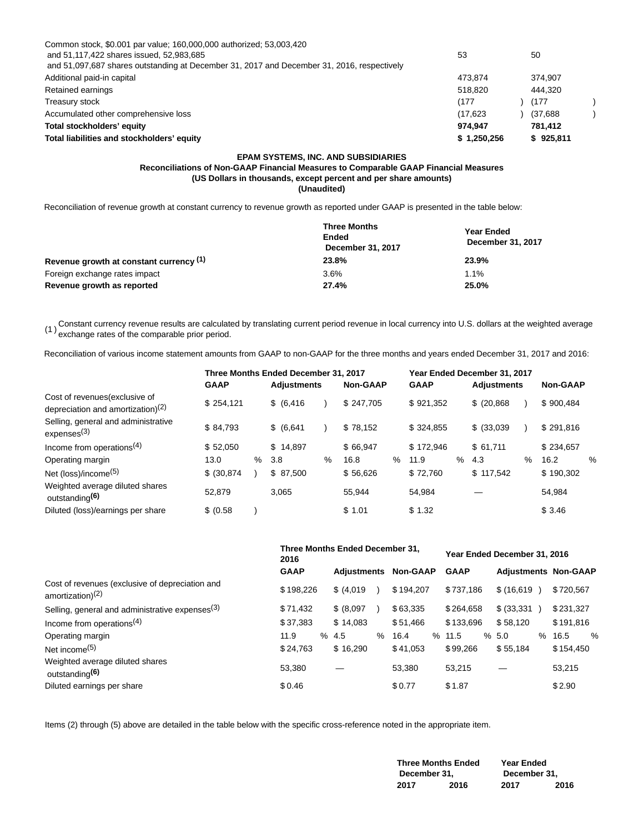| Common stock, \$0.001 par value; 160,000,000 authorized; 53,003,420                        |             |           |  |
|--------------------------------------------------------------------------------------------|-------------|-----------|--|
| and 51,117,422 shares issued, 52,983,685                                                   | 53          | 50        |  |
| and 51,097,687 shares outstanding at December 31, 2017 and December 31, 2016, respectively |             |           |  |
| Additional paid-in capital                                                                 | 473.874     | 374.907   |  |
| Retained earnings                                                                          | 518.820     | 444.320   |  |
| Treasury stock                                                                             | (177)       | (177      |  |
| Accumulated other comprehensive loss                                                       | (17.623)    | (37,688)  |  |
| Total stockholders' equity                                                                 | 974.947     | 781.412   |  |
| Total liabilities and stockholders' equity                                                 | \$1,250,256 | \$925,811 |  |

# **EPAM SYSTEMS, INC. AND SUBSIDIARIES**

**Reconciliations of Non-GAAP Financial Measures to Comparable GAAP Financial Measures (US Dollars in thousands, except percent and per share amounts) (Unaudited)**

Reconciliation of revenue growth at constant currency to revenue growth as reported under GAAP is presented in the table below:

|                                         | <b>Three Months</b><br>Ended<br>December 31, 2017 | Year Ended<br>December 31, 2017 |  |  |
|-----------------------------------------|---------------------------------------------------|---------------------------------|--|--|
| Revenue growth at constant currency (1) | 23.8%                                             | 23.9%                           |  |  |
| Foreign exchange rates impact           | 3.6%                                              | 1.1%                            |  |  |
| Revenue growth as reported              | 27.4%                                             | 25.0%                           |  |  |

(1) Constant currency revenue results are calculated by translating current period revenue in local currency into U.S. dollars at the weighted average<br>(1) susheans attes of the corresponds arise assisti exchange rates of the comparable prior period.

Reconciliation of various income statement amounts from GAAP to non-GAAP for the three months and years ended December 31, 2017 and 2016:

|                                                                        | Three Months Ended December 31, 2017 |      |                    |   |                 | Year Ended December 31, 2017 |             |      |                    |      |                 |   |
|------------------------------------------------------------------------|--------------------------------------|------|--------------------|---|-----------------|------------------------------|-------------|------|--------------------|------|-----------------|---|
|                                                                        | <b>GAAP</b>                          |      | <b>Adiustments</b> |   | <b>Non-GAAP</b> |                              | <b>GAAP</b> |      | <b>Adiustments</b> |      | <b>Non-GAAP</b> |   |
| Cost of revenues (exclusive of<br>depreciation and amortization) $(2)$ | \$254.121                            |      | \$ (6, 416)        |   | \$247.705       |                              | \$921,352   |      | $$^{(20,868)}$     |      | \$900.484       |   |
| Selling, general and administrative<br>express <sup>(3)</sup>          | \$84.793                             |      | \$ (6,641)         |   | \$78.152        |                              | \$324.855   |      | \$ (33,039)        |      | \$291.816       |   |
| Income from operations <sup>(4)</sup>                                  | \$52.050                             |      | \$14.897           |   | \$66.947        |                              | \$172.946   |      | \$61.711           |      | \$234.657       |   |
| Operating margin                                                       | 13.0                                 | $\%$ | 3.8                | % | 16.8            | $\%$                         | 11.9        | $\%$ | 4.3                | $\%$ | 16.2            | % |
| Net (loss)/income <sup>(5)</sup>                                       | \$ (30.874)                          |      | \$87,500           |   | \$56.626        |                              | \$72.760    |      | \$117.542          |      | \$190,302       |   |
| Weighted average diluted shares<br>outstanding <sup>(6)</sup>          | 52.879                               |      | 3.065              |   | 55.944          |                              | 54.984      |      |                    |      | 54,984          |   |
| Diluted (loss)/earnings per share                                      | \$ (0.58)                            |      |                    |   | \$1.01          |                              | \$1.32      |      |                    |      | \$3.46          |   |

|                                                                        | 2016        | Three Months Ended December 31. |                 | Year Ended December 31, 2016 |                             |                       |  |
|------------------------------------------------------------------------|-------------|---------------------------------|-----------------|------------------------------|-----------------------------|-----------------------|--|
|                                                                        | <b>GAAP</b> | <b>Adiustments</b>              | <b>Non-GAAP</b> | <b>GAAP</b>                  | <b>Adiustments Non-GAAP</b> |                       |  |
| Cost of revenues (exclusive of depreciation and<br>amortization) $(2)$ | \$198.226   | \$ (4,019)                      | \$194.207       | \$737.186                    | \$(16,619)                  | \$720.567             |  |
| Selling, general and administrative expenses <sup>(3)</sup>            | \$71.432    | \$ (8.097)                      | \$63,335        | \$264.658                    | \$ (33,331)                 | \$231.327             |  |
| Income from operations <sup>(4)</sup>                                  | \$37,383    | \$14,083                        | \$51,466        | \$133,696                    | \$58.120                    | \$191.816             |  |
| Operating margin                                                       | 11.9        | % 4.5<br>$\%$                   | 16.4<br>%       | 11.5                         | % 5.0<br>$\%$               | $\frac{0}{0}$<br>16.5 |  |
| Net income <sup>(5)</sup>                                              | \$24.763    | \$16,290                        | \$41.053        | \$99.266                     | \$55,184                    | \$154,450             |  |
| Weighted average diluted shares<br>outstanding <sup>(6)</sup>          | 53.380      |                                 | 53.380          | 53,215                       |                             | 53,215                |  |
| Diluted earnings per share                                             | \$0.46      |                                 | \$0.77          | \$1.87                       |                             | \$2.90                |  |

Items (2) through (5) above are detailed in the table below with the specific cross-reference noted in the appropriate item.

|              | <b>Three Months Ended</b> | Year Ended   |      |  |  |  |  |
|--------------|---------------------------|--------------|------|--|--|--|--|
| December 31, |                           | December 31, |      |  |  |  |  |
| 2017         | 2016                      | 2017         | 2016 |  |  |  |  |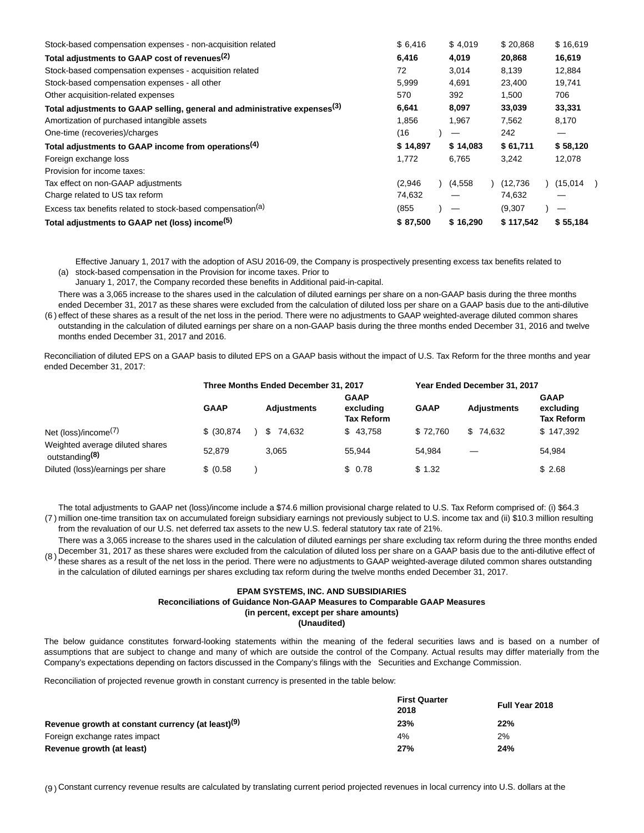| Stock-based compensation expenses - non-acquisition related                           | \$6.416  | \$4.019  | \$20.868  | \$16.619 |
|---------------------------------------------------------------------------------------|----------|----------|-----------|----------|
| Total adjustments to GAAP cost of revenues <sup>(2)</sup>                             | 6,416    | 4,019    | 20,868    | 16,619   |
| Stock-based compensation expenses - acquisition related                               | 72       | 3.014    | 8.139     | 12,884   |
| Stock-based compensation expenses - all other                                         | 5,999    | 4,691    | 23,400    | 19,741   |
| Other acquisition-related expenses                                                    | 570      | 392      | 1,500     | 706      |
| Total adjustments to GAAP selling, general and administrative expenses <sup>(3)</sup> | 6,641    | 8,097    | 33,039    | 33,331   |
| Amortization of purchased intangible assets                                           | 1,856    | 1.967    | 7,562     | 8,170    |
| One-time (recoveries)/charges                                                         | (16)     |          | 242       |          |
| Total adjustments to GAAP income from operations <sup>(4)</sup>                       | \$14,897 | \$14,083 | \$61,711  | \$58,120 |
| Foreign exchange loss                                                                 | 1,772    | 6.765    | 3,242     | 12,078   |
| Provision for income taxes:                                                           |          |          |           |          |
| Tax effect on non-GAAP adjustments                                                    | (2,946)  | (4,558)  | (12, 736) | (15,014) |
| Charge related to US tax reform                                                       | 74,632   |          | 74,632    |          |
| Excess tax benefits related to stock-based compensation <sup>(a)</sup>                | (855)    |          | (9,307)   |          |
| Total adjustments to GAAP net (loss) income <sup>(5)</sup>                            | \$87,500 | \$16,290 | \$117,542 | \$55,184 |

(a) stock-based compensation in the Provision for income taxes. Prior to Effective January 1, 2017 with the adoption of ASU 2016-09, the Company is prospectively presenting excess tax benefits related to

January 1, 2017, the Company recorded these benefits in Additional paid-in-capital.

There was a 3,065 increase to the shares used in the calculation of diluted earnings per share on a non-GAAP basis during the three months ended December 31, 2017 as these shares were excluded from the calculation of diluted loss per share on a GAAP basis due to the anti-dilutive

(6 ) effect of these shares as a result of the net loss in the period. There were no adjustments to GAAP weighted-average diluted common shares outstanding in the calculation of diluted earnings per share on a non-GAAP basis during the three months ended December 31, 2016 and twelve months ended December 31, 2017 and 2016.

Reconciliation of diluted EPS on a GAAP basis to diluted EPS on a GAAP basis without the impact of U.S. Tax Reform for the three months and year ended December 31, 2017:

|                                                               | Three Months Ended December 31, 2017 |  |                    |                                               | Year Ended December 31, 2017 |                    |                                               |  |
|---------------------------------------------------------------|--------------------------------------|--|--------------------|-----------------------------------------------|------------------------------|--------------------|-----------------------------------------------|--|
|                                                               | <b>GAAP</b>                          |  | <b>Adjustments</b> | <b>GAAP</b><br>excluding<br><b>Tax Reform</b> | <b>GAAP</b>                  | <b>Adjustments</b> | <b>GAAP</b><br>excluding<br><b>Tax Reform</b> |  |
| Net (loss)/income $(7)$                                       | $$^{(30.874)}$                       |  | \$74.632           | \$43.758                                      | \$72.760                     | \$74.632           | \$147,392                                     |  |
| Weighted average diluted shares<br>outstanding <sup>(8)</sup> | 52.879                               |  | 3.065              | 55.944                                        | 54.984                       |                    | 54.984                                        |  |
| Diluted (loss)/earnings per share                             | \$ (0.58)                            |  |                    | \$0.78                                        | \$1.32                       |                    | \$2.68                                        |  |

(7 ) million one-time transition tax on accumulated foreign subsidiary earnings not previously subject to U.S. income tax and (ii) \$10.3 million resulting The total adjustments to GAAP net (loss)/income include a \$74.6 million provisional charge related to U.S. Tax Reform comprised of: (i) \$64.3 from the revaluation of our U.S. net deferred tax assets to the new U.S. federal statutory tax rate of 21%.

(8 ) There was a 3,065 increase to the shares used in the calculation of diluted earnings per share excluding tax reform during the three months ended December 31, 2017 as these shares were excluded from the calculation of diluted loss per share on a GAAP basis due to the anti-dilutive effect of these shares as a result of the net loss in the period. There were no adjustments to GAAP weighted-average diluted common shares outstanding in the calculation of diluted earnings per shares excluding tax reform during the twelve months ended December 31, 2017.

## **EPAM SYSTEMS, INC. AND SUBSIDIARIES Reconciliations of Guidance Non-GAAP Measures to Comparable GAAP Measures (in percent, except per share amounts) (Unaudited)**

The below guidance constitutes forward-looking statements within the meaning of the federal securities laws and is based on a number of assumptions that are subject to change and many of which are outside the control of the Company. Actual results may differ materially from the Company's expectations depending on factors discussed in the Company's filings with the Securities and Exchange Commission.

Reconciliation of projected revenue growth in constant currency is presented in the table below:

|                                                               | <b>First Quarter</b><br>2018 | Full Year 2018 |
|---------------------------------------------------------------|------------------------------|----------------|
| Revenue growth at constant currency (at least) <sup>(9)</sup> | 23%                          | 22%            |
| Foreign exchange rates impact                                 | 4%                           | 2%             |
| Revenue growth (at least)                                     | 27%                          | 24%            |

(9 ) Constant currency revenue results are calculated by translating current period projected revenues in local currency into U.S. dollars at the